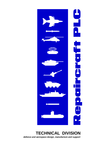

## **TECHNICAL DIVISION** defence and aerospace design, manufacture and support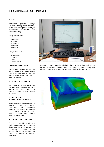# **TECHNICAL SERVICES**

### **DESIGN**

Repaircraft provides design services covering feasibility study, design and development, prototype<br>manufacture, verification and manufacture, verification and validation testing.

Disciplines include:

Mechanical Hydraulic Pneumatic Electrical Electronic

Design Tools include:

Solid Works AutoCad Visio Design Spark

### **TESTING & VALIDATION**

Design and management of Test Plans. Design and manufacture of Test Equipment. Analysis of Test Results. Preparation of Reports. Approval sign-off.

### **POST DESIGN SERVICES**

For mature equipment Repaircraft can take over complete technical responsibility, which can include Design Authority, for an equipment or system.

## **OBSOLESCENCE SURVEILLANCE SERVICES**

Repaircraft provides Obsolescence Surveillance Services to locate, track and monitor component availability for legacy equipments that are likely to suffer from future Diminished Manufacturing Sources (DMS) or obsolescence.

## **RE-ENGINEERING SERVICES**

If it is not possible to obtain a vital component or equipment Repaircraft can either design and manufacture a replacement, or redesign the parent equipment or system to accept a modern alternative.



Frequency, Buckling, Thermal, Drop Test, Fatigue, Pressure Vessel, Non-Linear, Composites, Advanced Dynamics and Flow Simulation (CFD) Computer analysis capabilities include: Linear Static, Motion, Optimisation,

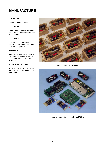## **MANUFACTURE**

## **MECHANICAL**

Machining and fabrication.

## **ELECTRICAL**

Conventional electrical assembly, coil winding, encapsulation and harness work.

## **ELECTRONIC**

Low volume, conventional and surface mount single and multi layer board capability.

## **ASSEMBLY**

British Standard BS5295 Class E / US Federal Standard 209E Class 100 / ISO 14644-1 Class 5 Clean Air Facility.

## **INSPECTION AND TEST**

A wide range of Mechanical, Physical and Electronic Test Equipment.



Electro-mechanical assembly



Low volume electronic modules and PCB's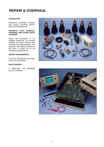## **REPAIR & OVERHAUL**

### **CAPABILITIES**

Mechanical, Gyroscopic, Pressure and Vacuum, Electrical, Electro-Mechanical, Electronic etc.

### **TECHNICAL DATA, MANUALS, DRAWINGS AND SPARE PARTS SOURCING**

Where this information is not available Repaircraft can develop overhaul and repair schemes, test schedules and documentation. The sourcing of old, obscure and hard to find parts is carried out by the Repaircraft Supply Division.

## **URGENT REQUIREMENTS**

A 24 hour, 365 day per year hotline service can be provided.

## **FIELD SUPPORT**

A Nationwide and Worldwide service is available.



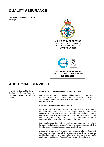## **QUALITY ASSURANCE**

Repaircraft hold various Approvals including:





## **ADDITIONAL SERVICES**

In addition to Design, Manufacture, Overhaul and Repair, Repaircraft can also provide the following service:

## **UK PRODUCT SUPPORT FOR OVERSEAS COMPANIES**

For overseas manufacturers that have sold equipment to the UK Ministry of Defence, but where it is uneconomic for them to set up a dedicated UK support centre, Repaircraft can provide a comprehensive range of Warranty and Support services.

## **PRODUCT ACQUISITION AND LICENSING**

Old well established product lines are sometimes neglected as companies change business focus to move into new market sectors. Also, company reorganisations often identify products which, although marginally profitable, are not cost-effective in management time and expense. Usually, however, these old product lines have to be supported, sometimes uneconomically, to maintain good customer relations.

For manufacturers that wish to maximise the return on their original investment and divest themselves of these long term support responsibilities Repaircraft are interested in acquiring such product lines.

Alternatively a Licensing Arrangement can be set up whereby Repaircraft takes over complete responsibility for post design services, manufacture, stockholding, repair and overhaul, marketing and finance, and any profits made are shared between Repaircraft and the original manufacturer.